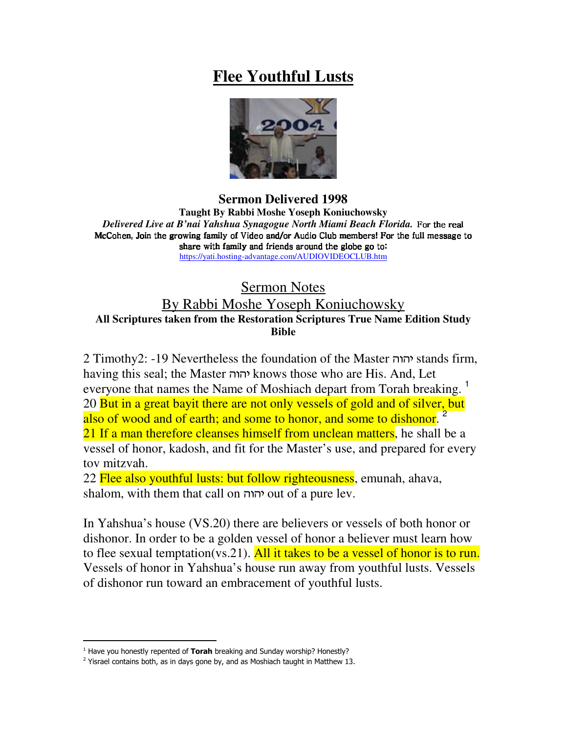## **Flee Youthful Lusts**



**Sermon Delivered 1998 Taught By Rabbi Moshe Yoseph Koniuchowsky** *Delivered Live at B'nai Yahshua Synagogue North Miami Beach Florida.* -  !"# !"#!"# !"#

\$%!'&( \$%!'&(\$%!'&(\$%!'&() )\*+-,/.) ) )\*+-,/.) )\*+-,/.) .0 "1 "#0 234- !. .0 !. !.

"# 2525 "# 2525 "# 2525  $\mathcal{L} = \mathcal{L} \mathcal{L} = \mathcal{L} \mathcal{L}$  . The state of the state of the state of the state of the state of the state of the state of the state of the state of the state of the state of the state of the state of the state of th https://yati.hosting-advantage.com/AUDIOVIDEOCLUB.htm

Sermon Notes

## By Rabbi Moshe Yoseph Koniuchowsky **All Scriptures taken from the Restoration Scriptures True Name Edition Study Bible**

2 Timothy2: -19 Nevertheless the foundation of the Master - stands firm, having this seal; the Master - knows those who are His. And, Let everyone that names the Name of Moshiach depart from Torah breaking.<sup>1</sup> 20 But in a great bayit there are not only vessels of gold and of silver, but also of wood and of earth; and some to honor, and some to dishonor. <sup>2</sup> 21 If a man therefore cleanses himself from unclean matters, he shall be a vessel of honor, kadosh, and fit for the Master's use, and prepared for every tov mitzvah.

22 Flee also youthful lusts: but follow righteousness, emunah, ahava, shalom, with them that call on יהוה out of a pure lev.

In Yahshua's house (VS.20) there are believers or vessels of both honor or dishonor. In order to be a golden vessel of honor a believer must learn how to flee sexual temptation(vs.21). All it takes to be a vessel of honor is to run. Vessels of honor in Yahshua's house run away from youthful lusts. Vessels of dishonor run toward an embracement of youthful lusts.

<sup>&</sup>lt;sup>1</sup> Have you honestly repented of Torah breaking and Sunday worship? Honestly?

 $2$  Yisrael contains both, as in days gone by, and as Moshiach taught in Matthew 13.